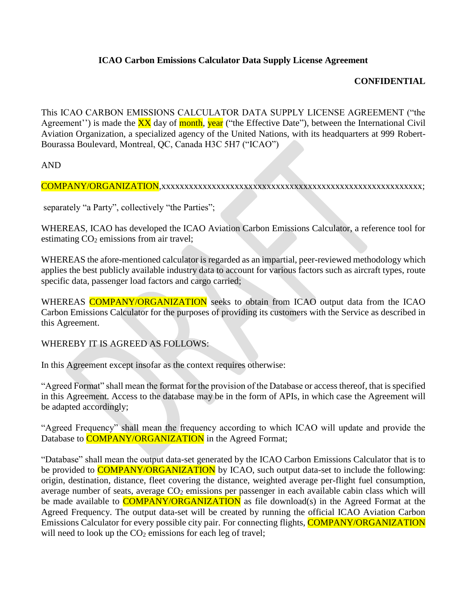## **ICAO Carbon Emissions Calculator Data Supply License Agreement**

## **CONFIDENTIAL**

This ICAO CARBON EMISSIONS CALCULATOR DATA SUPPLY LICENSE AGREEMENT ("the Agreement'') is made the  $\overline{XX}$  day of month, year ("the Effective Date"), between the International Civil Aviation Organization, a specialized agency of the United Nations, with its headquarters at 999 Robert-Bourassa Boulevard, Montreal, QC, Canada H3C 5H7 ("ICAO")

AND

COMPANY/ORGANIZATION,xxxxxxxxxxxxxxxxxxxxxxxxxxxxxxxxxxxxxxxxxxxxxxxxxxxxxxxxx;

separately "a Party", collectively "the Parties";

WHEREAS, ICAO has developed the ICAO Aviation Carbon Emissions Calculator, a reference tool for estimating CO<sub>2</sub> emissions from air travel;

WHEREAS the afore-mentioned calculator is regarded as an impartial, peer-reviewed methodology which applies the best publicly available industry data to account for various factors such as aircraft types, route specific data, passenger load factors and cargo carried;

WHEREAS COMPANY/ORGANIZATION seeks to obtain from ICAO output data from the ICAO Carbon Emissions Calculator for the purposes of providing its customers with the Service as described in this Agreement.

WHEREBY IT IS AGREED AS FOLLOWS:

In this Agreement except insofar as the context requires otherwise:

"Agreed Format" shall mean the format for the provision of the Database or access thereof, that is specified in this Agreement. Access to the database may be in the form of APIs, in which case the Agreement will be adapted accordingly;

"Agreed Frequency" shall mean the frequency according to which ICAO will update and provide the Database to **COMPANY/ORGANIZATION** in the Agreed Format;

"Database" shall mean the output data-set generated by the ICAO Carbon Emissions Calculator that is to be provided to **COMPANY/ORGANIZATION** by ICAO, such output data-set to include the following: origin, destination, distance, fleet covering the distance, weighted average per-flight fuel consumption, average number of seats, average  $CO<sub>2</sub>$  emissions per passenger in each available cabin class which will be made available to **COMPANY/ORGANIZATION** as file download(s) in the Agreed Format at the Agreed Frequency. The output data-set will be created by running the official ICAO Aviation Carbon Emissions Calculator for every possible city pair. For connecting flights, **COMPANY/ORGANIZATION** will need to look up the  $CO<sub>2</sub>$  emissions for each leg of travel;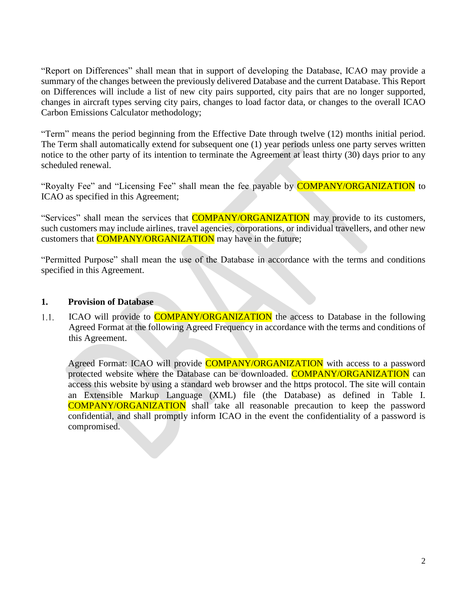"Report on Differences" shall mean that in support of developing the Database, ICAO may provide a summary of the changes between the previously delivered Database and the current Database. This Report on Differences will include a list of new city pairs supported, city pairs that are no longer supported, changes in aircraft types serving city pairs, changes to load factor data, or changes to the overall ICAO Carbon Emissions Calculator methodology;

"Term" means the period beginning from the Effective Date through twelve (12) months initial period. The Term shall automatically extend for subsequent one (1) year periods unless one party serves written notice to the other party of its intention to terminate the Agreement at least thirty (30) days prior to any scheduled renewal.

"Royalty Fee" and "Licensing Fee" shall mean the fee payable by COMPANY/ORGANIZATION to ICAO as specified in this Agreement;

"Services" shall mean the services that **COMPANY/ORGANIZATION** may provide to its customers, such customers may include airlines, travel agencies, corporations, or individual travellers, and other new customers that **COMPANY/ORGANIZATION** may have in the future;

"Permitted Purpose" shall mean the use of the Database in accordance with the terms and conditions specified in this Agreement.

#### **1. Provision of Database**

ICAO will provide to **COMPANY/ORGANIZATION** the access to Database in the following  $1.1.$ Agreed Format at the following Agreed Frequency in accordance with the terms and conditions of this Agreement.

Agreed Format: ICAO will provide **COMPANY/ORGANIZATION** with access to a password protected website where the Database can be downloaded. COMPANY/ORGANIZATION can access this website by using a standard web browser and the https protocol. The site will contain an Extensible Markup Language (XML) file (the Database) as defined in Table I. COMPANY/ORGANIZATION shall take all reasonable precaution to keep the password confidential, and shall promptly inform ICAO in the event the confidentiality of a password is compromised.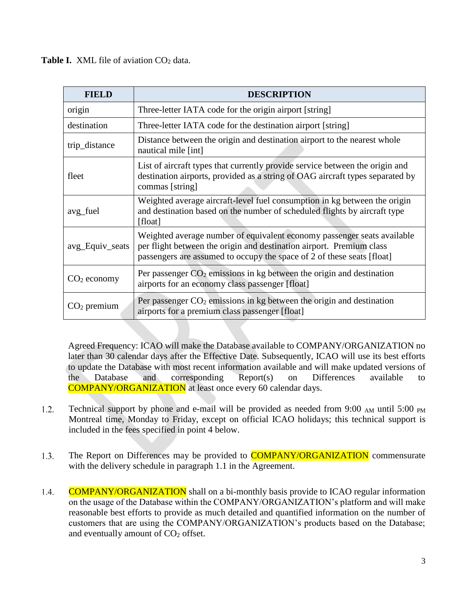**Table I.** XML file of aviation CO<sub>2</sub> data.

| <b>FIELD</b>    | <b>DESCRIPTION</b>                                                                                                                                                                                                        |  |
|-----------------|---------------------------------------------------------------------------------------------------------------------------------------------------------------------------------------------------------------------------|--|
| origin          | Three-letter IATA code for the origin airport [string]                                                                                                                                                                    |  |
| destination     | Three-letter IATA code for the destination airport [string]                                                                                                                                                               |  |
| trip_distance   | Distance between the origin and destination airport to the nearest whole<br>nautical mile [int]                                                                                                                           |  |
| fleet           | List of aircraft types that currently provide service between the origin and<br>destination airports, provided as a string of OAG aircraft types separated by<br>commas [string]                                          |  |
| avg_fuel        | Weighted average aircraft-level fuel consumption in kg between the origin<br>and destination based on the number of scheduled flights by aircraft type<br>[float]                                                         |  |
| avg_Equiv_seats | Weighted average number of equivalent economy passenger seats available<br>per flight between the origin and destination airport. Premium class<br>passengers are assumed to occupy the space of 2 of these seats [float] |  |
| $CO2$ economy   | Per passenger $CO2$ emissions in kg between the origin and destination<br>airports for an economy class passenger [float]                                                                                                 |  |
| $CO2$ premium   | Per passenger $CO2$ emissions in kg between the origin and destination<br>airports for a premium class passenger [float]                                                                                                  |  |

Agreed Frequency: ICAO will make the Database available to COMPANY/ORGANIZATION no later than 30 calendar days after the Effective Date. Subsequently, ICAO will use its best efforts to update the Database with most recent information available and will make updated versions of the Database and corresponding Report(s) on Differences available to COMPANY/ORGANIZATION at least once every 60 calendar days.

- $1.2.$ Technical support by phone and e-mail will be provided as needed from  $9:00$  AM until  $5:00$  PM Montreal time, Monday to Friday, except on official ICAO holidays; this technical support is included in the fees specified in point 4 below.
- The Report on Differences may be provided to **COMPANY/ORGANIZATION** commensurate  $1.3.$ with the delivery schedule in paragraph 1.1 in the Agreement.
- 1.4. COMPANY/ORGANIZATION shall on a bi-monthly basis provide to ICAO regular information on the usage of the Database within the COMPANY/ORGANIZATION's platform and will make reasonable best efforts to provide as much detailed and quantified information on the number of customers that are using the COMPANY/ORGANIZATION's products based on the Database; and eventually amount of  $CO<sub>2</sub>$  offset.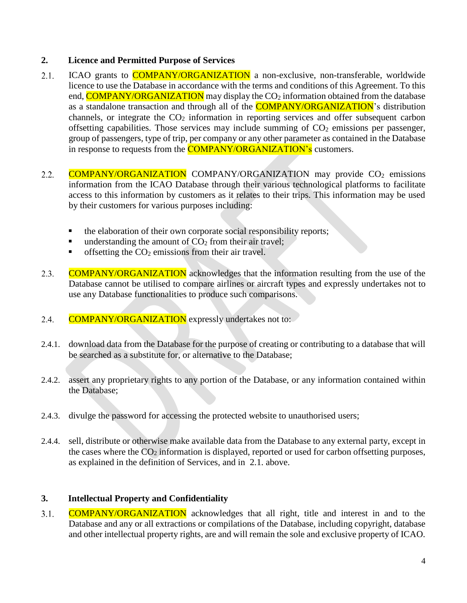## **2. Licence and Permitted Purpose of Services**

- $2.1.$ ICAO grants to **COMPANY/ORGANIZATION** a non-exclusive, non-transferable, worldwide licence to use the Database in accordance with the terms and conditions of this Agreement. To this end, **COMPANY/ORGANIZATION** may display the CO<sub>2</sub> information obtained from the database as a standalone transaction and through all of the **COMPANY/ORGANIZATION**'s distribution channels, or integrate the  $CO<sub>2</sub>$  information in reporting services and offer subsequent carbon offsetting capabilities. Those services may include summing of  $CO<sub>2</sub>$  emissions per passenger, group of passengers, type of trip, per company or any other parameter as contained in the Database in response to requests from the **COMPANY/ORGANIZATION's** customers.
- $2.2.$ COMPANY/ORGANIZATION COMPANY/ORGANIZATION may provide CO<sup>2</sup> emissions information from the ICAO Database through their various technological platforms to facilitate access to this information by customers as it relates to their trips. This information may be used by their customers for various purposes including:
	- the elaboration of their own corporate social responsibility reports;
	- understanding the amount of  $CO<sub>2</sub>$  from their air travel;
	- offsetting the  $CO<sub>2</sub>$  emissions from their air travel.
- COMPANY/ORGANIZATION acknowledges that the information resulting from the use of the  $2.3.$ Database cannot be utilised to compare airlines or aircraft types and expressly undertakes not to use any Database functionalities to produce such comparisons.
- 2.4. COMPANY/ORGANIZATION expressly undertakes not to:
- 2.4.1. download data from the Database for the purpose of creating or contributing to a database that will be searched as a substitute for, or alternative to the Database;
- 2.4.2. assert any proprietary rights to any portion of the Database, or any information contained within the Database;
- 2.4.3. divulge the password for accessing the protected website to unauthorised users;
- 2.4.4. sell, distribute or otherwise make available data from the Database to any external party, except in the cases where the  $CO<sub>2</sub>$  information is displayed, reported or used for carbon offsetting purposes, as explained in the definition of Services, and in 2.1. above.

# **3. Intellectual Property and Confidentiality**

 $3.1.$ COMPANY/ORGANIZATION acknowledges that all right, title and interest in and to the Database and any or all extractions or compilations of the Database, including copyright, database and other intellectual property rights, are and will remain the sole and exclusive property of ICAO.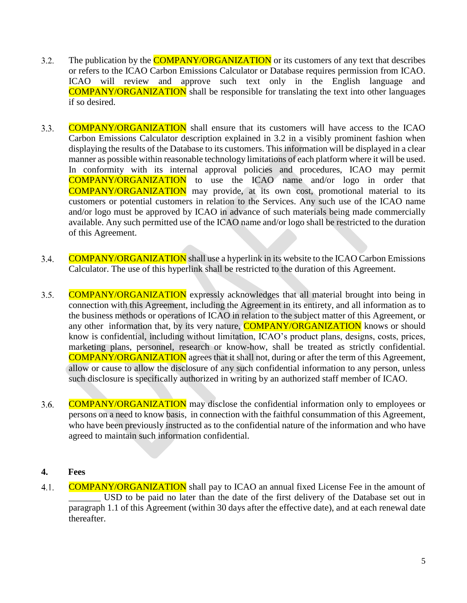- The publication by the **COMPANY/ORGANIZATION** or its customers of any text that describes  $3.2.$ or refers to the ICAO Carbon Emissions Calculator or Database requires permission from ICAO. ICAO will review and approve such text only in the English language and COMPANY/ORGANIZATION shall be responsible for translating the text into other languages if so desired.
- $3.3.$ COMPANY/ORGANIZATION shall ensure that its customers will have access to the ICAO Carbon Emissions Calculator description explained in 3.2 in a visibly prominent fashion when displaying the results of the Database to its customers. This information will be displayed in a clear manner as possible within reasonable technology limitations of each platform where it will be used. In conformity with its internal approval policies and procedures, ICAO may permit COMPANY/ORGANIZATION to use the ICAO name and/or logo in order that COMPANY/ORGANIZATION may provide, at its own cost, promotional material to its customers or potential customers in relation to the Services. Any such use of the ICAO name and/or logo must be approved by ICAO in advance of such materials being made commercially available. Any such permitted use of the ICAO name and/or logo shall be restricted to the duration of this Agreement.
- COMPANY/ORGANIZATION shall use a hyperlink in its website to the ICAO Carbon Emissions 3.4. Calculator. The use of this hyperlink shall be restricted to the duration of this Agreement.
- COMPANY/ORGANIZATION expressly acknowledges that all material brought into being in  $3.5.$ connection with this Agreement, including the Agreement in its entirety, and all information as to the business methods or operations of ICAO in relation to the subject matter of this Agreement, or any other information that, by its very nature, **COMPANY/ORGANIZATION** knows or should know is confidential, including without limitation, ICAO's product plans, designs, costs, prices, marketing plans, personnel, research or know-how, shall be treated as strictly confidential. COMPANY/ORGANIZATION agrees that it shall not, during or after the term of this Agreement, allow or cause to allow the disclosure of any such confidential information to any person, unless such disclosure is specifically authorized in writing by an authorized staff member of ICAO.
- COMPANY/ORGANIZATION may disclose the confidential information only to employees or 3.6. persons on a need to know basis, in connection with the faithful consummation of this Agreement, who have been previously instructed as to the confidential nature of the information and who have agreed to maintain such information confidential.

#### **4. Fees**

COMPANY/ORGANIZATION shall pay to ICAO an annual fixed License Fee in the amount of  $4.1.$ \_\_\_\_\_\_\_ USD to be paid no later than the date of the first delivery of the Database set out in paragraph 1.1 of this Agreement (within 30 days after the effective date), and at each renewal date thereafter.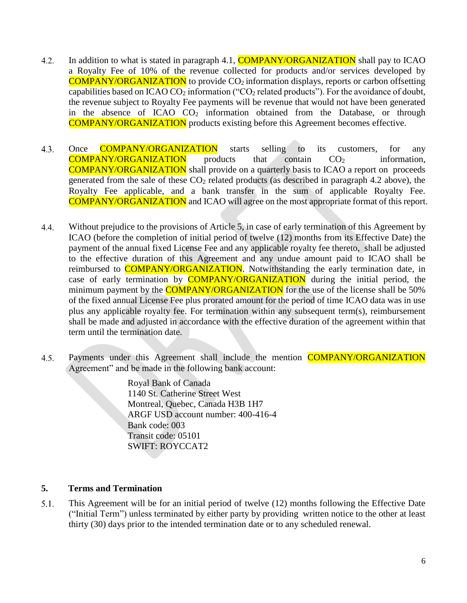- In addition to what is stated in paragraph 4.1, **COMPANY/ORGANIZATION** shall pay to ICAO 4.2. a Royalty Fee of 10% of the revenue collected for products and/or services developed by COMPANY/ORGANIZATION to provide CO<sup>2</sup> information displays, reports or carbon offsetting capabilities based on ICAO CO<sub>2</sub> information ("CO<sub>2</sub> related products"). For the avoidance of doubt, the revenue subject to Royalty Fee payments will be revenue that would not have been generated in the absence of ICAO CO<sub>2</sub> information obtained from the Database, or through COMPANY/ORGANIZATION products existing before this Agreement becomes effective.
- 4.3. Once **COMPANY/ORGANIZATION** starts selling to its customers, for any  $\overline{COMPANY/ORGANIZATION}$  products that contain  $CO<sub>2</sub>$  information, COMPANY/ORGANIZATION shall provide on a quarterly basis to ICAO a report on proceeds generated from the sale of these  $CO<sub>2</sub>$  related products (as described in paragraph 4.2 above), the Royalty Fee applicable, and a bank transfer in the sum of applicable Royalty Fee. COMPANY/ORGANIZATION and ICAO will agree on the most appropriate format of this report.
- Without prejudice to the provisions of Article 5, in case of early termination of this Agreement by  $4.4.$ ICAO (before the completion of initial period of twelve (12) months from its Effective Date) the payment of the annual fixed License Fee and any applicable royalty fee thereto, shall be adjusted to the effective duration of this Agreement and any undue amount paid to ICAO shall be reimbursed to **COMPANY/ORGANIZATION**. Notwithstanding the early termination date, in case of early termination by **COMPANY/ORGANIZATION** during the initial period, the minimum payment by the **COMPANY/ORGANIZATION** for the use of the license shall be 50% of the fixed annual License Fee plus prorated amount for the period of time ICAO data was in use plus any applicable royalty fee. For termination within any subsequent term(s), reimbursement shall be made and adjusted in accordance with the effective duration of the agreement within that term until the termination date.
- Payments under this Agreement shall include the mention **COMPANY/ORGANIZATION**  $4.5.$ Agreement" and be made in the following bank account:

Royal Bank of Canada 1140 St. Catherine Street West Montreal, Quebec, Canada H3B 1H7 ARGF USD account number: 400-416-4 Bank code: 003 Transit code: 05101 SWIFT: ROYCCAT2

## **5. Terms and Termination**

 $5.1.$ This Agreement will be for an initial period of twelve (12) months following the Effective Date ("Initial Term") unless terminated by either party by providing written notice to the other at least thirty (30) days prior to the intended termination date or to any scheduled renewal.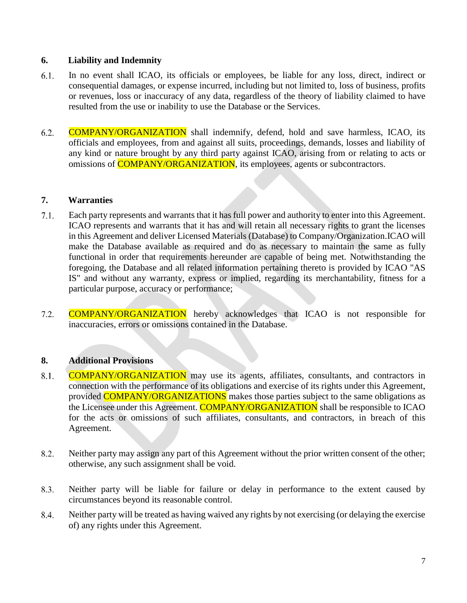#### **6. Liability and Indemnity**

- 6.1. In no event shall ICAO, its officials or employees, be liable for any loss, direct, indirect or consequential damages, or expense incurred, including but not limited to, loss of business, profits or revenues, loss or inaccuracy of any data, regardless of the theory of liability claimed to have resulted from the use or inability to use the Database or the Services.
- $6.2.$ COMPANY/ORGANIZATION shall indemnify, defend, hold and save harmless, ICAO, its officials and employees, from and against all suits, proceedings, demands, losses and liability of any kind or nature brought by any third party against ICAO, arising from or relating to acts or omissions of **COMPANY/ORGANIZATION**, its employees, agents or subcontractors.

#### **7. Warranties**

- $7.1.$ Each party represents and warrants that it has full power and authority to enter into this Agreement. ICAO represents and warrants that it has and will retain all necessary rights to grant the licenses in this Agreement and deliver Licensed Materials (Database) to Company/Organization.ICAO will make the Database available as required and do as necessary to maintain the same as fully functional in order that requirements hereunder are capable of being met. Notwithstanding the foregoing, the Database and all related information pertaining thereto is provided by ICAO "AS IS" and without any warranty, express or implied, regarding its merchantability, fitness for a particular purpose, accuracy or performance;
- $7.2.$ COMPANY/ORGANIZATION hereby acknowledges that ICAO is not responsible for inaccuracies, errors or omissions contained in the Database.

## **8. Additional Provisions**

- COMPANY/ORGANIZATION may use its agents, affiliates, consultants, and contractors in 8.1. connection with the performance of its obligations and exercise of its rights under this Agreement, provided **COMPANY/ORGANIZATIONS** makes those parties subject to the same obligations as the Licensee under this Agreement. COMPANY/ORGANIZATION shall be responsible to ICAO for the acts or omissions of such affiliates, consultants, and contractors, in breach of this Agreement.
- Neither party may assign any part of this Agreement without the prior written consent of the other; 8.2. otherwise, any such assignment shall be void.
- 8.3. Neither party will be liable for failure or delay in performance to the extent caused by circumstances beyond its reasonable control.
- 8.4. Neither party will be treated as having waived any rights by not exercising (or delaying the exercise of) any rights under this Agreement.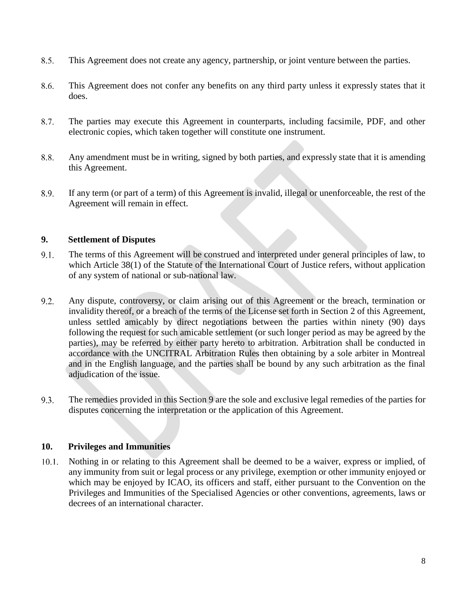- 8.5. This Agreement does not create any agency, partnership, or joint venture between the parties.
- 8.6. This Agreement does not confer any benefits on any third party unless it expressly states that it does.
- The parties may execute this Agreement in counterparts, including facsimile, PDF, and other 8.7. electronic copies, which taken together will constitute one instrument.
- 8.8. Any amendment must be in writing, signed by both parties, and expressly state that it is amending this Agreement.
- If any term (or part of a term) of this Agreement is invalid, illegal or unenforceable, the rest of the 8.9. Agreement will remain in effect.

#### **9. Settlement of Disputes**

- The terms of this Agreement will be construed and interpreted under general principles of law, to 9.1. which Article 38(1) of the Statute of the International Court of Justice refers, without application of any system of national or sub-national law.
- 9.2. Any dispute, controversy, or claim arising out of this Agreement or the breach, termination or invalidity thereof, or a breach of the terms of the License set forth in Section 2 of this Agreement, unless settled amicably by direct negotiations between the parties within ninety (90) days following the request for such amicable settlement (or such longer period as may be agreed by the parties), may be referred by either party hereto to arbitration. Arbitration shall be conducted in accordance with the UNCITRAL Arbitration Rules then obtaining by a sole arbiter in Montreal and in the English language, and the parties shall be bound by any such arbitration as the final adjudication of the issue.
- 9.3. The remedies provided in this Section 9 are the sole and exclusive legal remedies of the parties for disputes concerning the interpretation or the application of this Agreement.

#### **10. Privileges and Immunities**

Nothing in or relating to this Agreement shall be deemed to be a waiver, express or implied, of  $10.1.$ any immunity from suit or legal process or any privilege, exemption or other immunity enjoyed or which may be enjoyed by ICAO, its officers and staff, either pursuant to the Convention on the Privileges and Immunities of the Specialised Agencies or other conventions, agreements, laws or decrees of an international character.